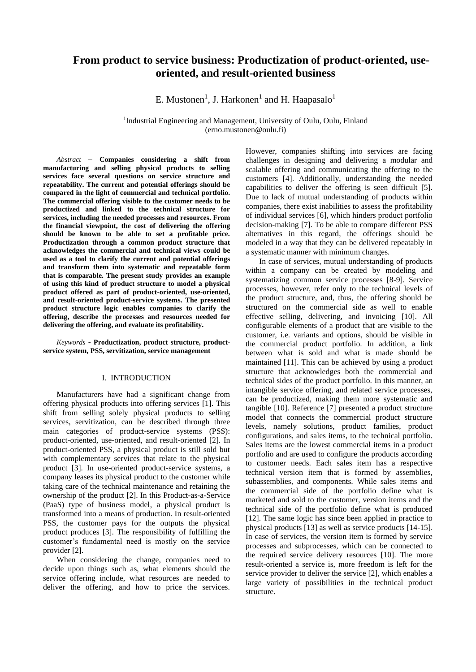# **From product to service business: Productization of product-oriented, useoriented, and result-oriented business**

E. Mustonen<sup>1</sup>, J. Harkonen<sup>1</sup> and H. Haapasalo<sup>1</sup>

<sup>1</sup>Industrial Engineering and Management, University of Oulu, Oulu, Finland (erno.mustonen@oulu.fi)

*Abstract* – **Companies considering a shift from manufacturing and selling physical products to selling services face several questions on service structure and repeatability. The current and potential offerings should be compared in the light of commercial and technical portfolio. The commercial offering visible to the customer needs to be productized and linked to the technical structure for services, including the needed processes and resources. From the financial viewpoint, the cost of delivering the offering should be known to be able to set a profitable price. Productization through a common product structure that acknowledges the commercial and technical views could be used as a tool to clarify the current and potential offerings and transform them into systematic and repeatable form that is comparable. The present study provides an example of using this kind of product structure to model a physical product offered as part of product-oriented, use-oriented, and result-oriented product-service systems. The presented product structure logic enables companies to clarify the offering, describe the processes and resources needed for delivering the offering, and evaluate its profitability.** 

*Keywords* - **Productization, product structure, productservice system, PSS, servitization, service management**

## I. INTRODUCTION

Manufacturers have had a significant change from offering physical products into offering services [1]. This shift from selling solely physical products to selling services, servitization, can be described through three main categories of product-service systems (PSS): product-oriented, use-oriented, and result-oriented [2]. In product-oriented PSS, a physical product is still sold but with complementary services that relate to the physical product [3]. In use-oriented product-service systems, a company leases its physical product to the customer while taking care of the technical maintenance and retaining the ownership of the product [2]. In this Product-as-a-Service (PaaS) type of business model, a physical product is transformed into a means of production. In result-oriented PSS, the customer pays for the outputs the physical product produces [3]. The responsibility of fulfilling the customer's fundamental need is mostly on the service provider [2].

When considering the change, companies need to decide upon things such as, what elements should the service offering include, what resources are needed to deliver the offering, and how to price the services.

However, companies shifting into services are facing challenges in designing and delivering a modular and scalable offering and communicating the offering to the customers [4]. Additionally, understanding the needed capabilities to deliver the offering is seen difficult [5]. Due to lack of mutual understanding of products within companies, there exist inabilities to assess the profitability of individual services [6], which hinders product portfolio decision-making [7]. To be able to compare different PSS alternatives in this regard, the offerings should be modeled in a way that they can be delivered repeatably in a systematic manner with minimum changes.

In case of services, mutual understanding of products within a company can be created by modeling and systematizing common service processes [8-9]. Service processes, however, refer only to the technical levels of the product structure, and, thus, the offering should be structured on the commercial side as well to enable effective selling, delivering, and invoicing [10]. All configurable elements of a product that are visible to the customer, i.e. variants and options, should be visible in the commercial product portfolio. In addition, a link between what is sold and what is made should be maintained [11]. This can be achieved by using a product structure that acknowledges both the commercial and technical sides of the product portfolio. In this manner, an intangible service offering, and related service processes, can be productized, making them more systematic and tangible [10]. Reference [7] presented a product structure model that connects the commercial product structure levels, namely solutions, product families, product configurations, and sales items, to the technical portfolio. Sales items are the lowest commercial items in a product portfolio and are used to configure the products according to customer needs. Each sales item has a respective technical version item that is formed by assemblies, subassemblies, and components. While sales items and the commercial side of the portfolio define what is marketed and sold to the customer, version items and the technical side of the portfolio define what is produced [12]. The same logic has since been applied in practice to physical products [13] as well as service products [14-15]. In case of services, the version item is formed by service processes and subprocesses, which can be connected to the required service delivery resources [10]. The more result-oriented a service is, more freedom is left for the service provider to deliver the service [2], which enables a large variety of possibilities in the technical product structure.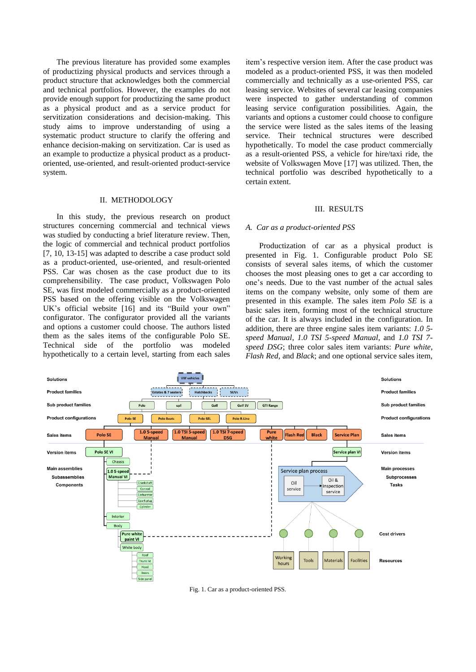The previous literature has provided some examples of productizing physical products and services through a product structure that acknowledges both the commercial and technical portfolios. However, the examples do not provide enough support for productizing the same product as a physical product and as a service product for servitization considerations and decision-making. This study aims to improve understanding of using a systematic product structure to clarify the offering and enhance decision-making on servitization. Car is used as an example to productize a physical product as a productoriented, use-oriented, and result-oriented product-service system.

# II. METHODOLOGY

In this study, the previous research on product structures concerning commercial and technical views was studied by conducting a brief literature review. Then, the logic of commercial and technical product portfolios [7, 10, 13-15] was adapted to describe a case product sold as a product-oriented, use-oriented, and result-oriented PSS. Car was chosen as the case product due to its comprehensibility. The case product, Volkswagen Polo SE, was first modeled commercially as a product-oriented PSS based on the offering visible on the Volkswagen UK's official website [16] and its "Build your own" configurator. The configurator provided all the variants and options a customer could choose. The authors listed them as the sales items of the configurable Polo SE. Technical side of the portfolio was modeled hypothetically to a certain level, starting from each sales

item's respective version item. After the case product was modeled as a product-oriented PSS, it was then modeled commercially and technically as a use-oriented PSS, car leasing service. Websites of several car leasing companies were inspected to gather understanding of common leasing service configuration possibilities. Again, the variants and options a customer could choose to configure the service were listed as the sales items of the leasing service. Their technical structures were described hypothetically. To model the case product commercially as a result-oriented PSS, a vehicle for hire/taxi ride, the website of Volkswagen Move [17] was utilized. Then, the technical portfolio was described hypothetically to a certain extent.

## III. RESULTS

#### *A. Car as a product-oriented PSS*

Productization of car as a physical product is presented in Fig. 1. Configurable product Polo SE consists of several sales items, of which the customer chooses the most pleasing ones to get a car according to one's needs. Due to the vast number of the actual sales items on the company website, only some of them are presented in this example. The sales item *Polo SE* is a basic sales item, forming most of the technical structure of the car. It is always included in the configuration. In addition, there are three engine sales item variants: *1.0 5 speed Manual*, *1.0 TSI 5-speed Manual*, and *1.0 TSI 7 speed DSG*; three color sales item variants: *Pure white*, *Flash Red*, and *Black*; and one optional service sales item,



Fig. 1. Car as a product-oriented PSS.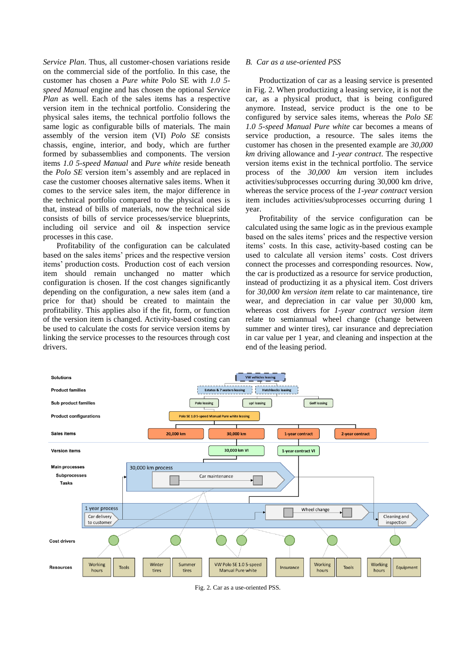*Service Plan*. Thus, all customer-chosen variations reside on the commercial side of the portfolio. In this case, the customer has chosen a *Pure white* Polo SE with *1.0 5 speed Manual* engine and has chosen the optional *Service Plan* as well. Each of the sales items has a respective version item in the technical portfolio. Considering the physical sales items, the technical portfolio follows the same logic as configurable bills of materials. The main assembly of the version item (VI) *Polo SE* consists chassis, engine, interior, and body, which are further formed by subassemblies and components. The version items *1.0 5-speed Manual* and *Pure white* reside beneath the *Polo SE* version item's assembly and are replaced in case the customer chooses alternative sales items. When it comes to the service sales item, the major difference in the technical portfolio compared to the physical ones is that, instead of bills of materials, now the technical side consists of bills of service processes/service blueprints, including oil service and oil & inspection service processes in this case.

Profitability of the configuration can be calculated based on the sales items' prices and the respective version items' production costs. Production cost of each version item should remain unchanged no matter which configuration is chosen. If the cost changes significantly depending on the configuration, a new sales item (and a price for that) should be created to maintain the profitability. This applies also if the fit, form, or function of the version item is changed. Activity-based costing can be used to calculate the costs for service version items by linking the service processes to the resources through cost drivers.

# *B. Car as a use-oriented PSS*

Productization of car as a leasing service is presented in Fig. 2. When productizing a leasing service, it is not the car, as a physical product, that is being configured anymore. Instead, service product is the one to be configured by service sales items, whereas the *Polo SE 1.0 5-speed Manual Pure white* car becomes a means of service production, a resource. The sales items the customer has chosen in the presented example are *30,000 km* driving allowance and *1-year contract*. The respective version items exist in the technical portfolio. The service process of the *30,000 km* version item includes activities/subprocesses occurring during 30,000 km drive, whereas the service process of the *1-year contract* version item includes activities/subprocesses occurring during 1 year.

Profitability of the service configuration can be calculated using the same logic as in the previous example based on the sales items' prices and the respective version items' costs. In this case, activity-based costing can be used to calculate all version items' costs. Cost drivers connect the processes and corresponding resources. Now, the car is productized as a resource for service production, instead of productizing it as a physical item. Cost drivers for *30,000 km version item* relate to car maintenance, tire wear, and depreciation in car value per 30,000 km, whereas cost drivers for *1-year contract version item* relate to semiannual wheel change (change between summer and winter tires), car insurance and depreciation in car value per 1 year, and cleaning and inspection at the end of the leasing period.



Fig. 2. Car as a use-oriented PSS.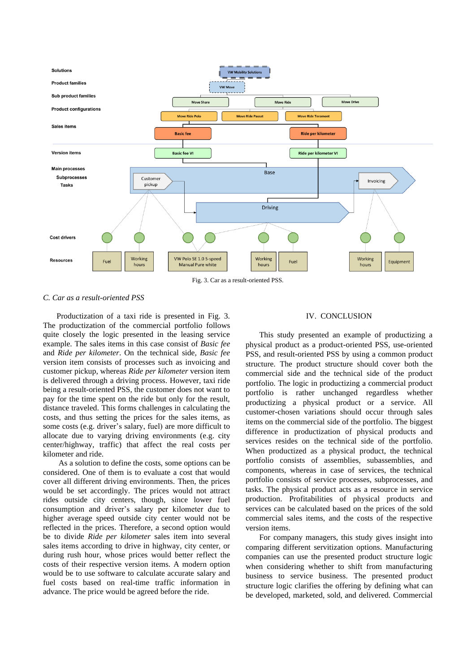

Fig. 3. Car as a result-oriented PSS.

# *C. Car as a result-oriented PSS*

Productization of a taxi ride is presented in Fig. 3. The productization of the commercial portfolio follows quite closely the logic presented in the leasing service example. The sales items in this case consist of *Basic fee* and *Ride per kilometer*. On the technical side, *Basic fee*  version item consists of processes such as invoicing and customer pickup, whereas *Ride per kilometer* version item is delivered through a driving process. However, taxi ride being a result-oriented PSS, the customer does not want to pay for the time spent on the ride but only for the result, distance traveled. This forms challenges in calculating the costs, and thus setting the prices for the sales items, as some costs (e.g. driver's salary, fuel) are more difficult to allocate due to varying driving environments (e.g. city center/highway, traffic) that affect the real costs per kilometer and ride.

As a solution to define the costs, some options can be considered. One of them is to evaluate a cost that would cover all different driving environments. Then, the prices would be set accordingly. The prices would not attract rides outside city centers, though, since lower fuel consumption and driver's salary per kilometer due to higher average speed outside city center would not be reflected in the prices. Therefore, a second option would be to divide *Ride per kilometer* sales item into several sales items according to drive in highway, city center, or during rush hour, whose prices would better reflect the costs of their respective version items. A modern option would be to use software to calculate accurate salary and fuel costs based on real-time traffic information in advance. The price would be agreed before the ride.

## IV. CONCLUSION

This study presented an example of productizing a physical product as a product-oriented PSS, use-oriented PSS, and result-oriented PSS by using a common product structure. The product structure should cover both the commercial side and the technical side of the product portfolio. The logic in productizing a commercial product portfolio is rather unchanged regardless whether productizing a physical product or a service. All customer-chosen variations should occur through sales items on the commercial side of the portfolio. The biggest difference in productization of physical products and services resides on the technical side of the portfolio. When productized as a physical product, the technical portfolio consists of assemblies, subassemblies, and components, whereas in case of services, the technical portfolio consists of service processes, subprocesses, and tasks. The physical product acts as a resource in service production. Profitabilities of physical products and services can be calculated based on the prices of the sold commercial sales items, and the costs of the respective version items.

For company managers, this study gives insight into comparing different servitization options. Manufacturing companies can use the presented product structure logic when considering whether to shift from manufacturing business to service business. The presented product structure logic clarifies the offering by defining what can be developed, marketed, sold, and delivered. Commercial